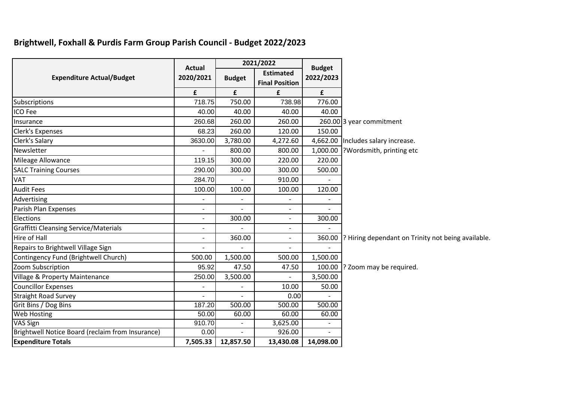## **Brightwell, Foxhall & Purdis Farm Group Parish Council - Budget 2022/2023**

|                                                  | <b>Actual</b>            | 2021/2022                    |                                           | <b>Budget</b> |                                                            |
|--------------------------------------------------|--------------------------|------------------------------|-------------------------------------------|---------------|------------------------------------------------------------|
| <b>Expenditure Actual/Budget</b>                 | 2020/2021                | <b>Budget</b>                | <b>Estimated</b><br><b>Final Position</b> | 2022/2023     |                                                            |
|                                                  | £                        | £                            | £                                         | £             |                                                            |
| Subscriptions                                    | 718.75                   | 750.00                       | 738.98                                    | 776.00        |                                                            |
| ICO Fee                                          | 40.00                    | 40.00                        | 40.00                                     | 40.00         |                                                            |
| Insurance                                        | 260.68                   | 260.00                       | 260.00                                    |               | 260.00 3 year commitment                                   |
| Clerk's Expenses                                 | 68.23                    | 260.00                       | 120.00                                    | 150.00        |                                                            |
| Clerk's Salary                                   | 3630.00                  | 3,780.00                     | 4,272.60                                  |               | 4,662.00  Includes salary increase.                        |
| Newsletter                                       |                          | 800.00                       | 800.00                                    | 1,000.00      | Wordsmith, printing etc                                    |
| Mileage Allowance                                | 119.15                   | 300.00                       | 220.00                                    | 220.00        |                                                            |
| <b>SALC Training Courses</b>                     | 290.00                   | 300.00                       | 300.00                                    | 500.00        |                                                            |
| <b>VAT</b>                                       | 284.70                   |                              | 910.00                                    |               |                                                            |
| <b>Audit Fees</b>                                | 100.00                   | 100.00                       | 100.00                                    | 120.00        |                                                            |
| Advertising                                      | $\overline{\phantom{0}}$ | $\qquad \qquad \blacksquare$ | $\overline{a}$                            |               |                                                            |
| Parish Plan Expenses                             |                          |                              |                                           |               |                                                            |
| Elections                                        | $\overline{\phantom{0}}$ | 300.00                       | $\overline{\phantom{a}}$                  | 300.00        |                                                            |
| <b>Graffitti Cleansing Service/Materials</b>     | $\overline{\phantom{0}}$ |                              | $\overline{a}$                            |               |                                                            |
| Hire of Hall                                     | $\overline{\phantom{a}}$ | 360.00                       | $\overline{a}$                            |               | 360.00  ? Hiring dependant on Trinity not being available. |
| Repairs to Brightwell Village Sign               |                          |                              |                                           |               |                                                            |
| Contingency Fund (Brightwell Church)             | 500.00                   | 1,500.00                     | 500.00                                    | 1,500.00      |                                                            |
| Zoom Subscription                                | 95.92                    | 47.50                        | 47.50                                     | 100.00        | ? Zoom may be required.                                    |
| <b>Village &amp; Property Maintenance</b>        | 250.00                   | 3,500.00                     | $\overline{\phantom{a}}$                  | 3,500.00      |                                                            |
| <b>Councillor Expenses</b>                       |                          |                              | 10.00                                     | 50.00         |                                                            |
| <b>Straight Road Survey</b>                      |                          |                              | 0.00                                      |               |                                                            |
| Grit Bins / Dog Bins                             | 187.20                   | 500.00                       | 500.00                                    | 500.00        |                                                            |
| <b>Web Hosting</b>                               | 50.00                    | 60.00                        | 60.00                                     | 60.00         |                                                            |
| VAS Sign                                         | 910.70                   |                              | 3,625.00                                  |               |                                                            |
| Brightwell Notice Board (reclaim from Insurance) | 0.00                     |                              | 926.00                                    |               |                                                            |
| <b>Expenditure Totals</b>                        | 7,505.33                 | 12,857.50                    | 13,430.08                                 | 14,098.00     |                                                            |